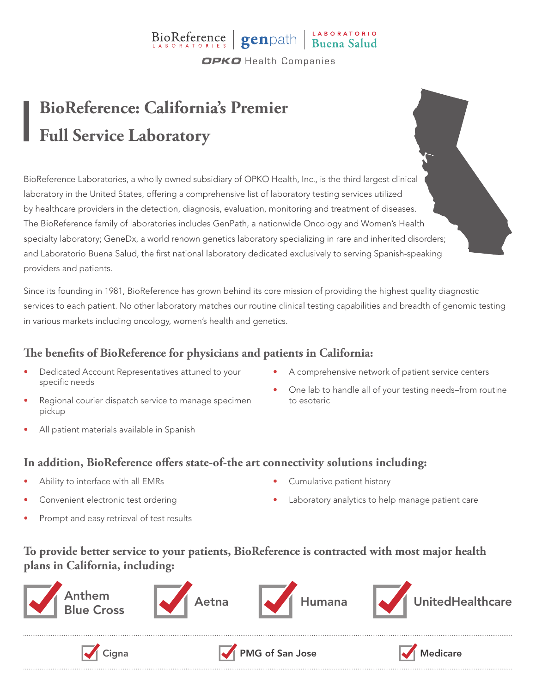### BioReference genpath Buena Salud **OPKO** Health Companies

# **BioReference: California's Premier Full Service Laboratory**

BioReference Laboratories, a wholly owned subsidiary of OPKO Health, Inc., is the third largest clinical laboratory in the United States, offering a comprehensive list of laboratory testing services utilized by healthcare providers in the detection, diagnosis, evaluation, monitoring and treatment of diseases. The BioReference family of laboratories includes GenPath, a nationwide Oncology and Women's Health specialty laboratory; GeneDx, a world renown genetics laboratory specializing in rare and inherited disorders; and Laboratorio Buena Salud, the first national laboratory dedicated exclusively to serving Spanish-speaking providers and patients.

Since its founding in 1981, BioReference has grown behind its core mission of providing the highest quality diagnostic services to each patient. No other laboratory matches our routine clinical testing capabilities and breadth of genomic testing in various markets including oncology, women's health and genetics.

#### **The benefits of BioReference for physicians and patients in California:**

- Dedicated Account Representatives attuned to your specific needs
- Regional courier dispatch service to manage specimen pickup
- All patient materials available in Spanish
- A comprehensive network of patient service centers
- One lab to handle all of your testing needs–from routine to esoteric

#### **In addition, BioReference offers state-of-the art connectivity solutions including:**

- Ability to interface with all EMRs
- Convenient electronic test ordering
- Prompt and easy retrieval of test results
- Cumulative patient history
- Laboratory analytics to help manage patient care

#### **To provide better service to your patients, BioReference is contracted with most major health plans in California, including:**